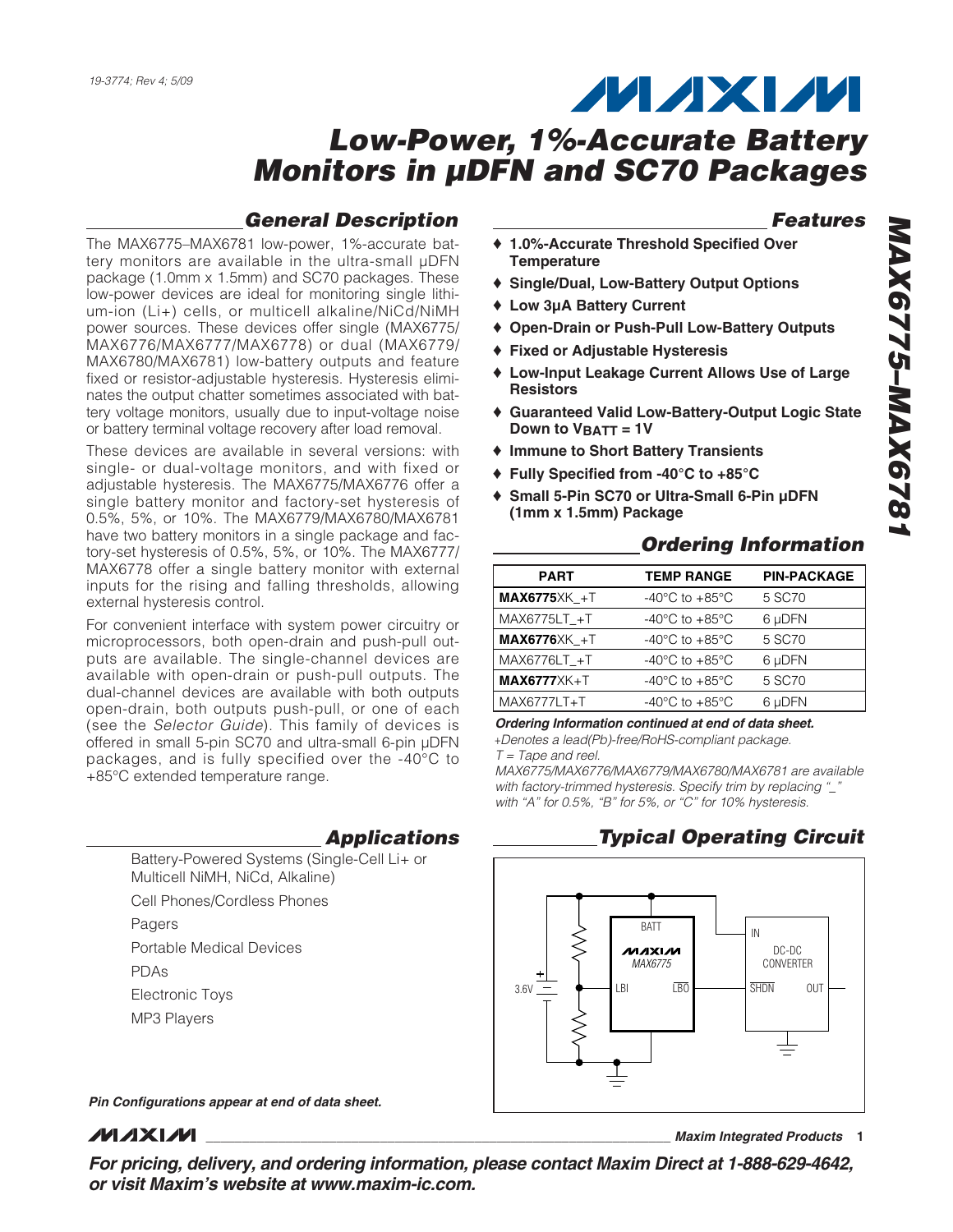## **MAXM**

## **Low-Power, 1%-Accurate Battery Monitors in µDFN and SC70 Packages**

#### **General Description**

The MAX6775–MAX6781 low-power, 1%-accurate battery monitors are available in the ultra-small µDFN package (1.0mm x 1.5mm) and SC70 packages. These low-power devices are ideal for monitoring single lithium-ion (Li+) cells, or multicell alkaline/NiCd/NiMH power sources. These devices offer single (MAX6775/ MAX6776/MAX6777/MAX6778) or dual (MAX6779/ MAX6780/MAX6781) low-battery outputs and feature fixed or resistor-adjustable hysteresis. Hysteresis eliminates the output chatter sometimes associated with battery voltage monitors, usually due to input-voltage noise or battery terminal voltage recovery after load removal.

These devices are available in several versions: with single- or dual-voltage monitors, and with fixed or adjustable hysteresis. The MAX6775/MAX6776 offer a single battery monitor and factory-set hysteresis of 0.5%, 5%, or 10%. The MAX6779/MAX6780/MAX6781 have two battery monitors in a single package and factory-set hysteresis of 0.5%, 5%, or 10%. The MAX6777/ MAX6778 offer a single battery monitor with external inputs for the rising and falling thresholds, allowing external hysteresis control.

For convenient interface with system power circuitry or microprocessors, both open-drain and push-pull outputs are available. The single-channel devices are available with open-drain or push-pull outputs. The dual-channel devices are available with both outputs open-drain, both outputs push-pull, or one of each (see the Selector Guide). This family of devices is offered in small 5-pin SC70 and ultra-small 6-pin µDFN packages, and is fully specified over the -40°C to +85°C extended temperature range.

#### **Applications**

Battery-Powered Systems (Single-Cell Li+ or Multicell NiMH, NiCd, Alkaline)

Cell Phones/Cordless Phones

Pagers

- Portable Medical Devices
- PDAs
- Electronic Toys
- MP3 Players

#### **Features**

- ♦ **1.0%-Accurate Threshold Specified Over Temperature**
- ♦ **Single/Dual, Low-Battery Output Options**
- ♦ **Low 3µA Battery Current**
- ♦ **Open-Drain or Push-Pull Low-Battery Outputs**
- ♦ **Fixed or Adjustable Hysteresis**
- ♦ **Low-Input Leakage Current Allows Use of Large Resistors**
- ♦ **Guaranteed Valid Low-Battery-Output Logic State Down to VBATT = 1V**
- ♦ **Immune to Short Battery Transients**
- ♦ **Fully Specified from -40°C to +85°C**
- ♦ **Small 5-Pin SC70 or Ultra-Small 6-Pin µDFN (1mm x 1.5mm) Package**

#### **Ordering Information**

| <b>PART</b>       | <b>TEMP RANGE</b>                    | <b>PIN-PACKAGE</b> |
|-------------------|--------------------------------------|--------------------|
| $MAX6775XK +T$    | -40 $^{\circ}$ C to +85 $^{\circ}$ C | 5 SC70             |
| MAX6775LT +T      | $-40^{\circ}$ C to $+85^{\circ}$ C   | 6 µDFN             |
| $MAX6776XK_{+}+T$ | $-40^{\circ}$ C to $+85^{\circ}$ C   | 5 SC70             |
| MAX6776LT +T      | $-40^{\circ}$ C to $+85^{\circ}$ C   | 6 µDFN             |
| $MAX6777XK+T$     | $-40^{\circ}$ C to $+85^{\circ}$ C   | 5 SC70             |
| MAX6777LT+T       | $-40^{\circ}$ C to $+85^{\circ}$ C   | 6 uDFN             |

**Ordering Information continued at end of data sheet.**

+Denotes a lead(Pb)-free/RoHS-compliant package.  $T =$  Tape and reel.

MAX6775/MAX6776/MAX6779/MAX6780/MAX6781 are available with factory-trimmed hysteresis. Specify trim by replacing "\_" with "A" for 0.5%, "B" for 5%, or "C" for 10% hysteresis.

#### **Typical Operating Circuit**



**Pin Configurations appear at end of data sheet.**

#### **MAXIM**

**\_\_\_\_\_\_\_\_\_\_\_\_\_\_\_\_\_\_\_\_\_\_\_\_\_\_\_\_\_\_\_\_\_\_\_\_\_\_\_\_\_\_\_\_\_\_\_\_\_\_\_\_\_\_\_\_\_\_\_\_\_\_\_\_ Maxim Integrated Products 1**

**For pricing, delivery, and ordering information, please contact Maxim Direct at 1-888-629-4642, or visit Maxim's website at www.maxim-ic.com.**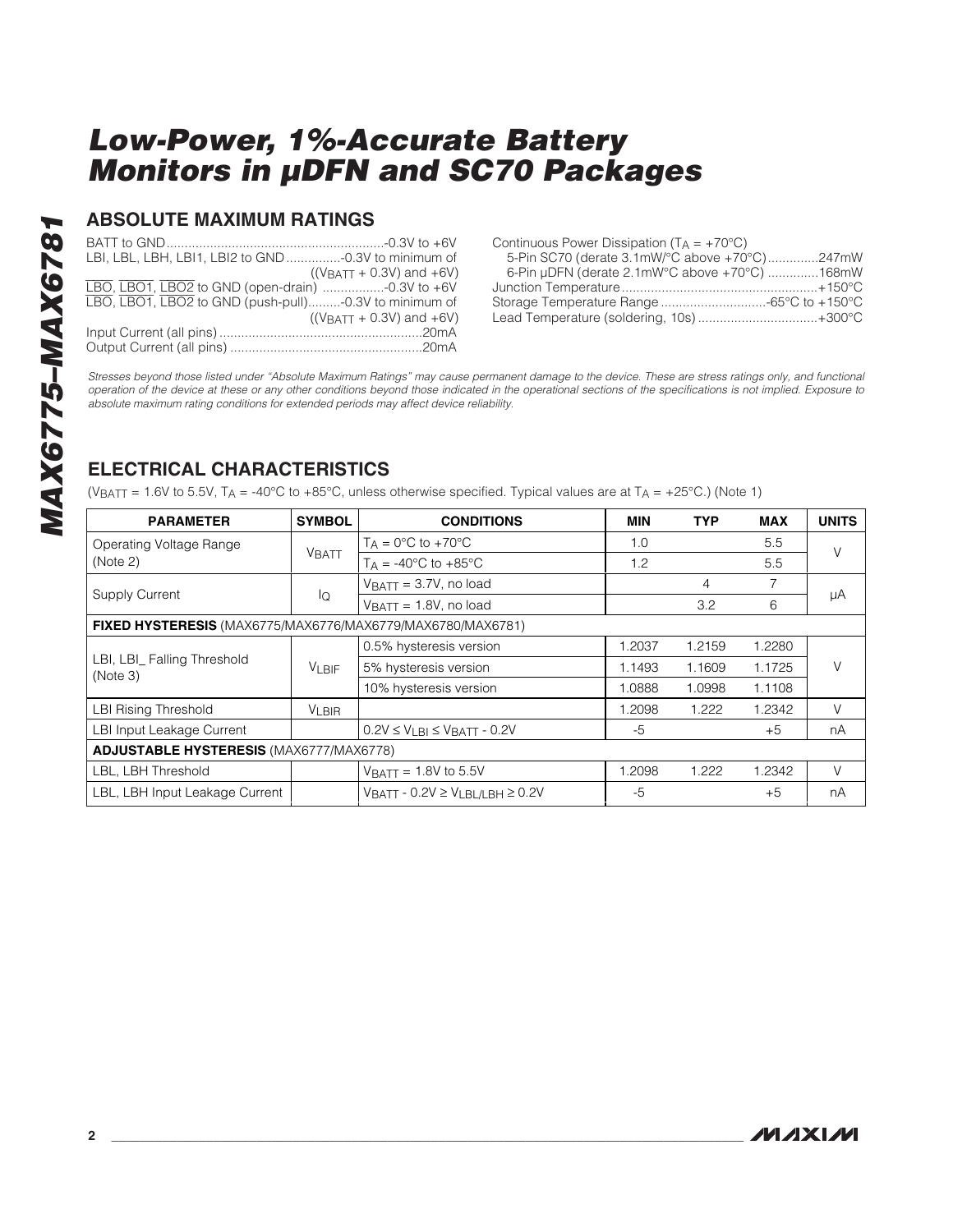#### **ABSOLUTE MAXIMUM RATINGS**

| LBI, LBL, LBH, LBI1, LBI2 to GND -0.3V to minimum of  |                              |
|-------------------------------------------------------|------------------------------|
|                                                       | $((VBATT + 0.3V)$ and $+6V)$ |
| LBO, LBO1, LBO2 to GND (open-drain) -0.3V to +6V      |                              |
| LBO, LBO1, LBO2 to GND (push-pull)-0.3V to minimum of |                              |
|                                                       | $((VBATT + 0.3V)$ and $+6V)$ |
|                                                       |                              |
|                                                       |                              |

| Continuous Power Dissipation $(T_A = +70^{\circ}C)$ |  |
|-----------------------------------------------------|--|
| 5-Pin SC70 (derate 3.1mW/°C above +70°C)247mW       |  |
| 6-Pin µDFN (derate 2.1mW°C above +70°C) 168mW       |  |
|                                                     |  |
|                                                     |  |
| Lead Temperature (soldering, 10s) +300°C            |  |

Stresses beyond those listed under "Absolute Maximum Ratings" may cause permanent damage to the device. These are stress ratings only, and functional operation of the device at these or any other conditions beyond those indicated in the operational sections of the specifications is not implied. Exposure to absolute maximum rating conditions for extended periods may affect device reliability.

#### **ELECTRICAL CHARACTERISTICS**

(VBATT = 1.6V to 5.5V, TA = -40°C to +85°C, unless otherwise specified. Typical values are at TA = +25°C.) (Note 1)

| <b>PARAMETER</b>                                           | <b>SYMBOL</b> | <b>CONDITIONS</b>                           | <b>MIN</b> | <b>TYP</b> | <b>MAX</b> | <b>UNITS</b> |
|------------------------------------------------------------|---------------|---------------------------------------------|------------|------------|------------|--------------|
| Operating Voltage Range                                    |               | $T_A = 0$ °C to +70°C<br>1.0                |            |            | 5.5        | V            |
| (Note 2)                                                   | <b>VBATT</b>  | $T_A = -40^{\circ}C$ to $+85^{\circ}C$      | 1.2        |            | 5.5        |              |
| <b>Supply Current</b>                                      |               | $V_{\text{BAT}} = 3.7V$ , no load           |            | 4          | 7          |              |
|                                                            | lQ            | $V_{\text{BAT}} = 1.8V$ , no load           |            | 3.2        | 6          | μA           |
| FIXED HYSTERESIS (MAX6775/MAX6776/MAX6779/MAX6780/MAX6781) |               |                                             |            |            |            |              |
| LBI, LBI_ Falling Threshold<br>(Note 3)                    |               | 0.5% hysteresis version                     | 1.2037     | 1.2159     | 1.2280     |              |
|                                                            | $V_{LBIF}$    | 5% hysteresis version                       | 1.1493     | 1.1609     | 1.1725     | V            |
|                                                            |               | 10% hysteresis version                      | 1.0888     | 1.0998     | 1.1108     |              |
| <b>LBI Rising Threshold</b>                                | <b>VLBIR</b>  |                                             | 1.2098     | 1.222      | 1.2342     | V            |
| LBI Input Leakage Current                                  |               | $0.2V \leq V_{LBI} \leq V_{BATT}$ - 0.2V    | -5         |            | $+5$       | nA           |
| <b>ADJUSTABLE HYSTERESIS (MAX6777/MAX6778)</b>             |               |                                             |            |            |            |              |
| LBL, LBH Threshold                                         |               | $V_{\text{BAT}} = 1.8V$ to 5.5V             | 1.2098     | 1.222      | 1.2342     | $\vee$       |
| LBL, LBH Input Leakage Current                             |               | $V$ BATT - 0.2V $\geq$ VLBL/LBH $\geq$ 0.2V | $-5$       |            | $+5$       | nA           |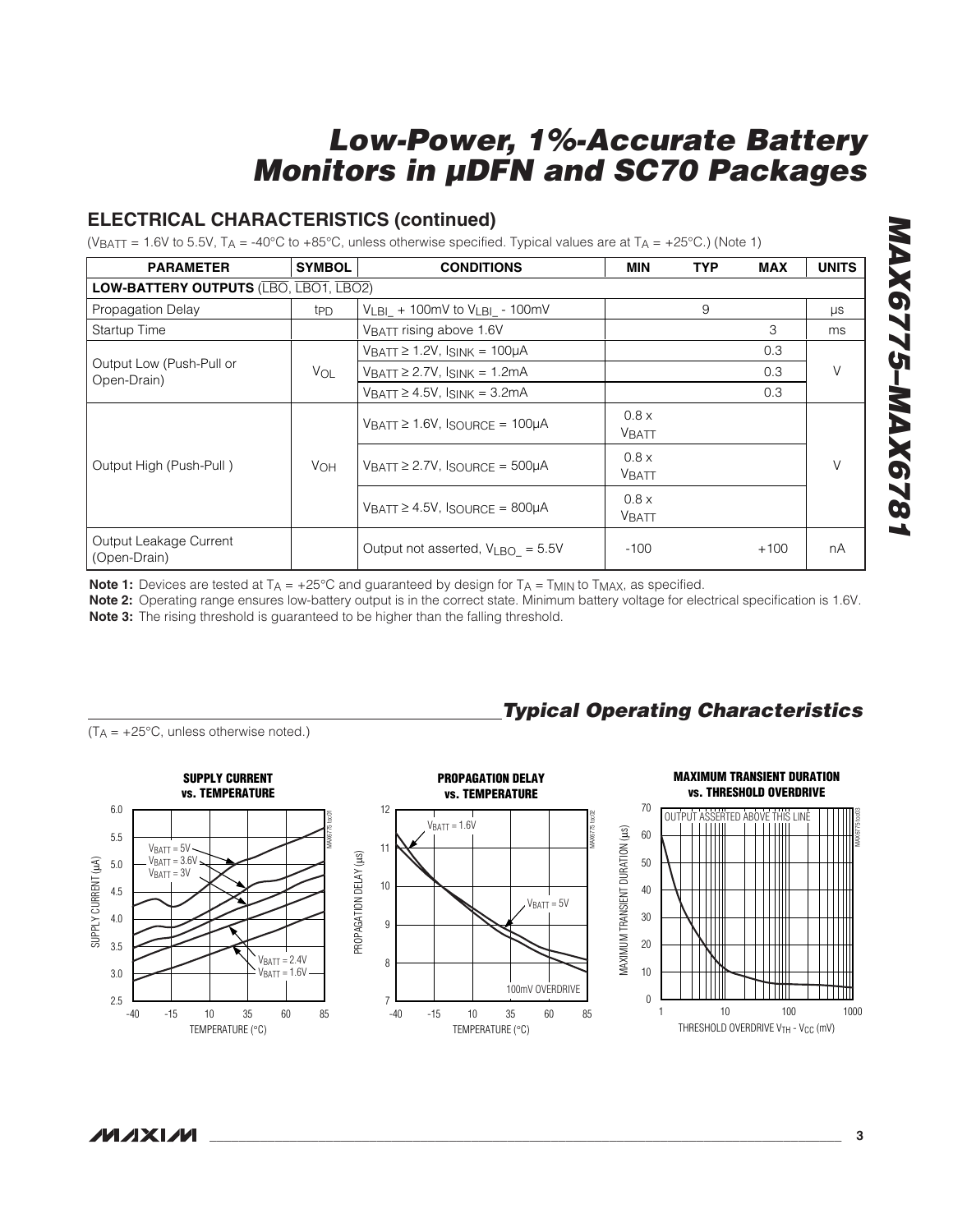#### **ELECTRICAL CHARACTERISTICS (continued)**

(VBATT = 1.6V to 5.5V, TA = -40°C to +85°C, unless otherwise specified. Typical values are at TA = +25°C.) (Note 1)

| <b>PARAMETER</b>                        | <b>SYMBOL</b>         | <b>CONDITIONS</b>                                       | <b>MIN</b>            | <b>TYP</b> | <b>MAX</b> | <b>UNITS</b> |
|-----------------------------------------|-----------------------|---------------------------------------------------------|-----------------------|------------|------------|--------------|
| LOW-BATTERY OUTPUTS (LBO, LBO1, LBO2)   |                       |                                                         |                       |            |            |              |
| Propagation Delay                       | t <sub>PD</sub>       | $V_{LB1}$ + 100mV to $V_{LB1}$ - 100mV                  | 9                     |            |            | $\mu s$      |
| Startup Time                            |                       | VBATT rising above 1.6V                                 |                       |            | 3          | ms           |
|                                         |                       | $V_{\text{BATT}} \geq 1.2V$ , Isink = 100µA             |                       |            | 0.3        |              |
| Output Low (Push-Pull or<br>Open-Drain) | VOL                   | $V_{\text{BATT}} \geq 2.7V$ , $I_{\text{SINK}} = 1.2mA$ |                       |            | 0.3        | V            |
|                                         |                       | $V_{\text{BATT}} \geq 4.5V$ , Isink = 3.2mA             |                       |            | 0.3        |              |
|                                         | <b>V<sub>OH</sub></b> | $V$ BATT $\geq 1.6V$ , ISOURCE = 100µA                  | 0.8 x<br>VBATT        |            |            |              |
| Output High (Push-Pull)                 |                       | $V$ BATT $\geq$ 2.7V, ISOURCE = 500µA                   | 0.8x<br><b>VBATT</b>  |            |            | $\vee$       |
|                                         |                       | $VBATT \ge 4.5V$ , $ISOUIRCF = 800\muA$                 | 0.8 x<br><b>VBATT</b> |            |            |              |
| Output Leakage Current<br>(Open-Drain)  |                       | Output not asserted, $V_{LBO} = 5.5V$                   | $-100$                |            | $+100$     | nA           |

**Note 1:** Devices are tested at  $T_A = +25^{\circ}$ C and guaranteed by design for  $T_A = T_{MIN}$  to  $T_{MAX}$ , as specified.

**Note 2:** Operating range ensures low-battery output is in the correct state. Minimum battery voltage for electrical specification is 1.6V. **Note 3:** The rising threshold is guaranteed to be higher than the falling threshold.

**Typical Operating Characteristics**

 $(T_A = +25^{\circ}C$ , unless otherwise noted.)



MAX6775 toc03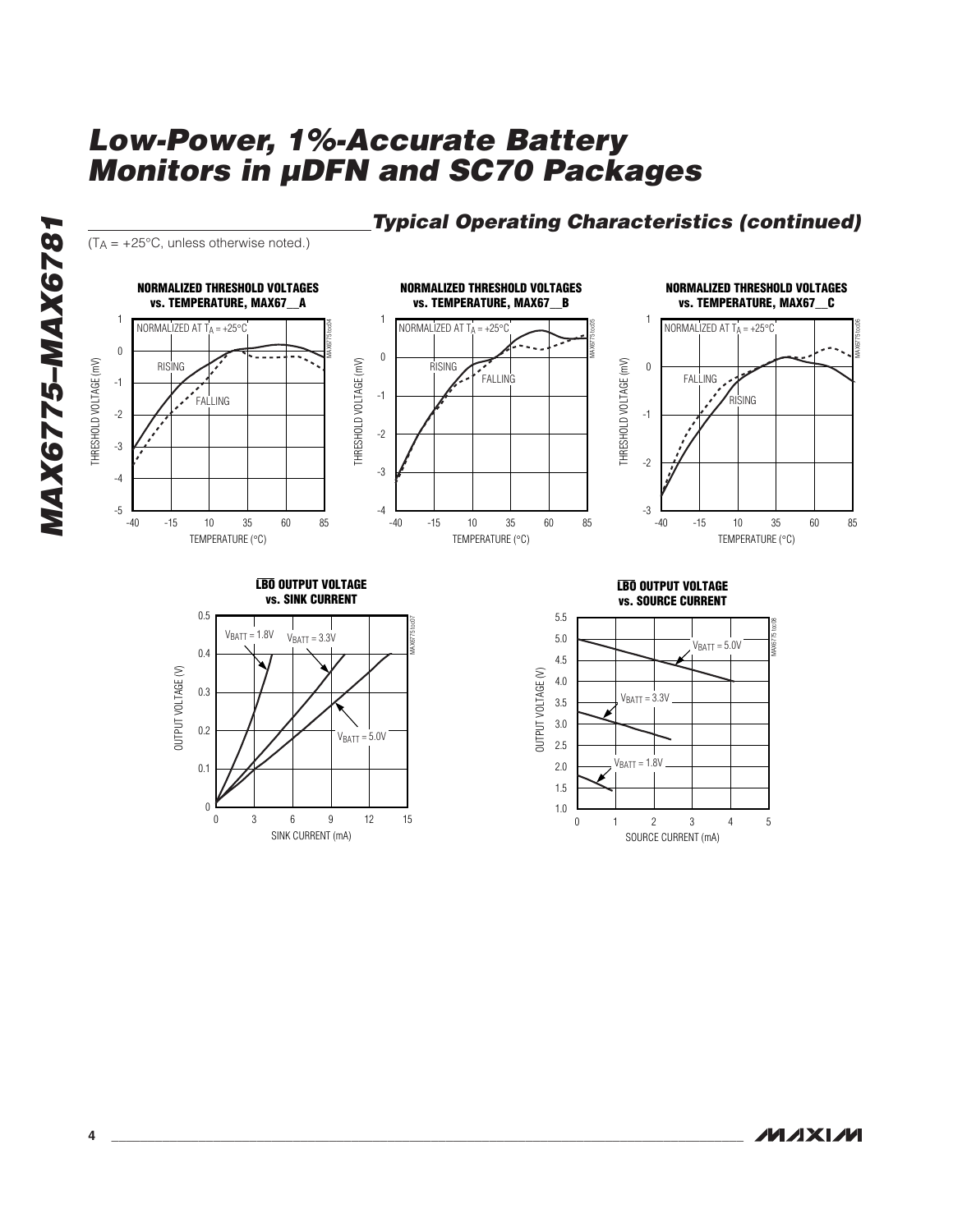

#### **Typical Operating Characteristics (continued)**





**MAX6775–MAX6781**

**MAX6775-MAX6781**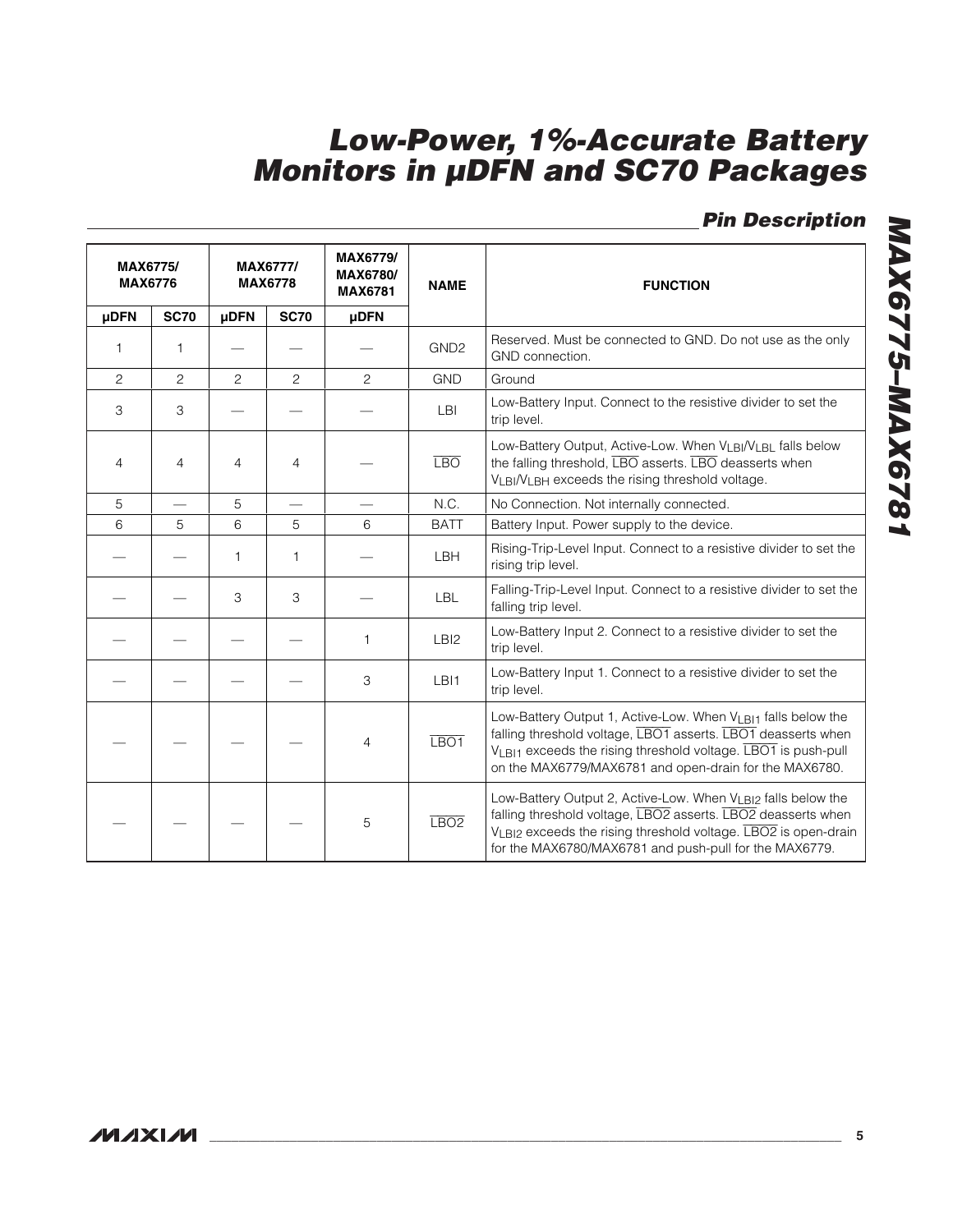**Pin Description**

|                | <b>MAX6775/</b><br><b>MAX6776</b> |                | <b>MAX6777/</b><br><b>MAX6778</b> | <b>MAX6779/</b><br><b>MAX6780/</b><br><b>MAX6781</b> | <b>NAME</b>      | <b>FUNCTION</b>                                                                                                                                                                                                                                          |
|----------------|-----------------------------------|----------------|-----------------------------------|------------------------------------------------------|------------------|----------------------------------------------------------------------------------------------------------------------------------------------------------------------------------------------------------------------------------------------------------|
| <b>µDFN</b>    | <b>SC70</b>                       | <b>µDFN</b>    | <b>SC70</b>                       | <b>µDFN</b>                                          |                  |                                                                                                                                                                                                                                                          |
| 1              | 1                                 |                |                                   |                                                      | GND <sub>2</sub> | Reserved. Must be connected to GND. Do not use as the only<br>GND connection.                                                                                                                                                                            |
| $\overline{c}$ | $\overline{c}$                    | $\overline{c}$ | $\overline{c}$                    | $\overline{c}$                                       | <b>GND</b>       | Ground                                                                                                                                                                                                                                                   |
| 3              | 3                                 |                |                                   |                                                      | LBI              | Low-Battery Input. Connect to the resistive divider to set the<br>trip level.                                                                                                                                                                            |
| $\overline{4}$ | 4                                 | 4              | $\overline{4}$                    |                                                      | <b>LBO</b>       | Low-Battery Output, Active-Low. When VLBI/VLBL falls below<br>the falling threshold, LBO asserts. LBO deasserts when<br>VLBI/VLBH exceeds the rising threshold voltage.                                                                                  |
| 5              |                                   | 5              |                                   |                                                      | N.C.             | No Connection. Not internally connected.                                                                                                                                                                                                                 |
| 6              | 5                                 | 6              | 5                                 | 6                                                    | <b>BATT</b>      | Battery Input. Power supply to the device.                                                                                                                                                                                                               |
|                |                                   | $\mathbf{1}$   | 1                                 |                                                      | LBH              | Rising-Trip-Level Input. Connect to a resistive divider to set the<br>rising trip level.                                                                                                                                                                 |
|                |                                   | 3              | 3                                 |                                                      | <b>LBL</b>       | Falling-Trip-Level Input. Connect to a resistive divider to set the<br>falling trip level.                                                                                                                                                               |
|                |                                   |                |                                   | $\mathbf{1}$                                         | LBI <sub>2</sub> | Low-Battery Input 2. Connect to a resistive divider to set the<br>trip level.                                                                                                                                                                            |
|                |                                   |                |                                   | 3                                                    | LBI1             | Low-Battery Input 1. Connect to a resistive divider to set the<br>trip level.                                                                                                                                                                            |
|                |                                   |                |                                   | 4                                                    | LBO <sub>1</sub> | Low-Battery Output 1, Active-Low. When VLBI1 falls below the<br>falling threshold voltage, LBO1 asserts. LBO1 deasserts when<br>VLBI1 exceeds the rising threshold voltage. LBO1 is push-pull<br>on the MAX6779/MAX6781 and open-drain for the MAX6780.  |
|                |                                   |                |                                   | 5                                                    | LBO2             | Low-Battery Output 2, Active-Low. When VLBI2 falls below the<br>falling threshold voltage, LBO2 asserts. LBO2 deasserts when<br>VLBI2 exceeds the rising threshold voltage. LBO2 is open-drain<br>for the MAX6780/MAX6781 and push-pull for the MAX6779. |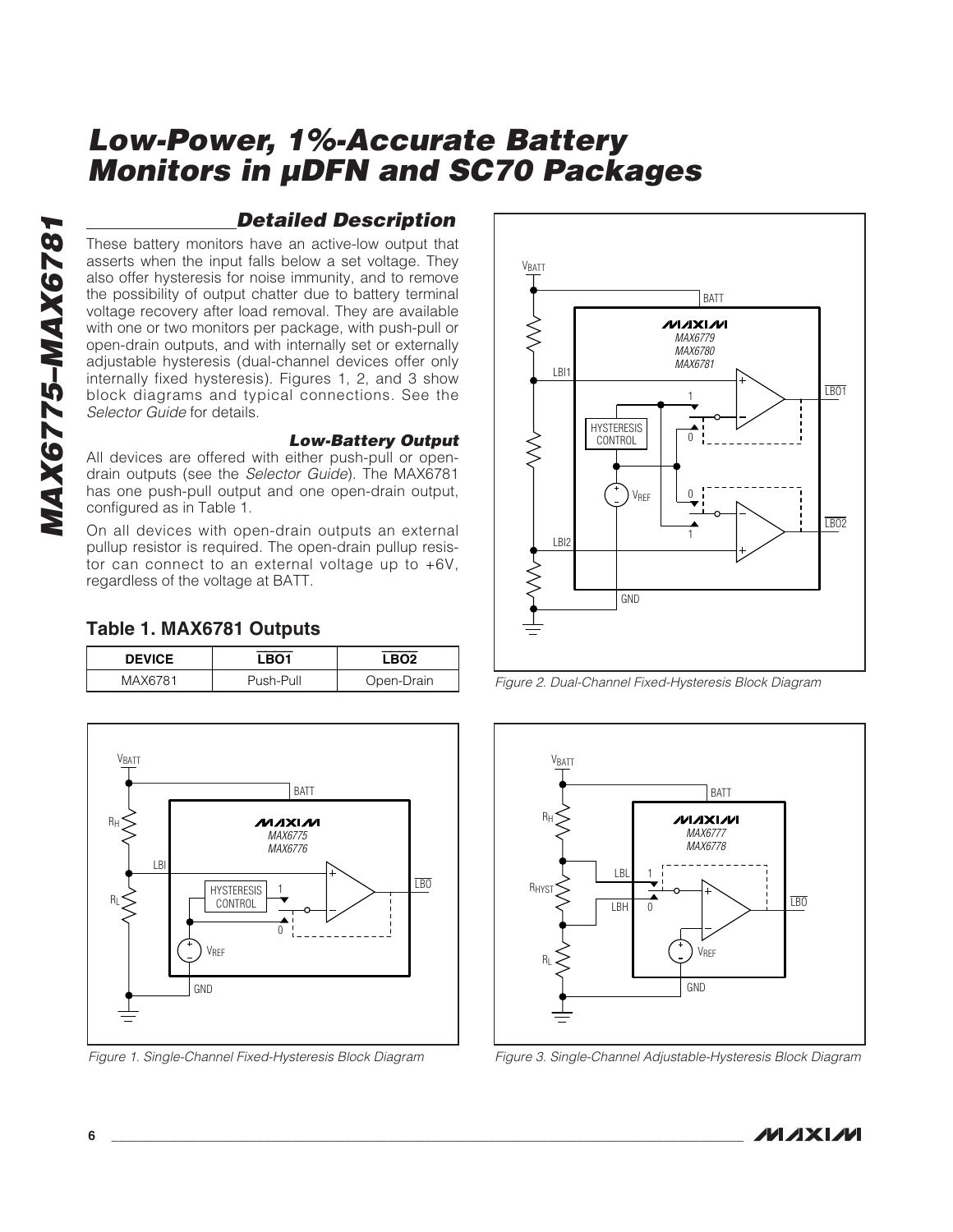# **MAX6775-MAX6781 MAX6775–MAX6781**

#### **Detailed Description**

These battery monitors have an active-low output that asserts when the input falls below a set voltage. They also offer hysteresis for noise immunity, and to remove the possibility of output chatter due to battery terminal voltage recovery after load removal. They are available with one or two monitors per package, with push-pull or open-drain outputs, and with internally set or externally adjustable hysteresis (dual-channel devices offer only internally fixed hysteresis). Figures 1, 2, and 3 show block diagrams and typical connections. See the Selector Guide for details.

#### **Low-Battery Output**

All devices are offered with either push-pull or opendrain outputs (see the Selector Guide). The MAX6781 has one push-pull output and one open-drain output, configured as in Table 1.

On all devices with open-drain outputs an external pullup resistor is required. The open-drain pullup resistor can connect to an external voltage up to +6V, regardless of the voltage at BATT.

#### **Table 1. MAX6781 Outputs**

| <b>DEVICE</b> | _BO1      | ' RO2      |
|---------------|-----------|------------|
| MAX6781       | Push-Pull | Open-Drain |



Figure 1. Single-Channel Fixed-Hysteresis Block Diagram



Figure 2. Dual-Channel Fixed-Hysteresis Block Diagram



Figure 3. Single-Channel Adjustable-Hysteresis Block Diagram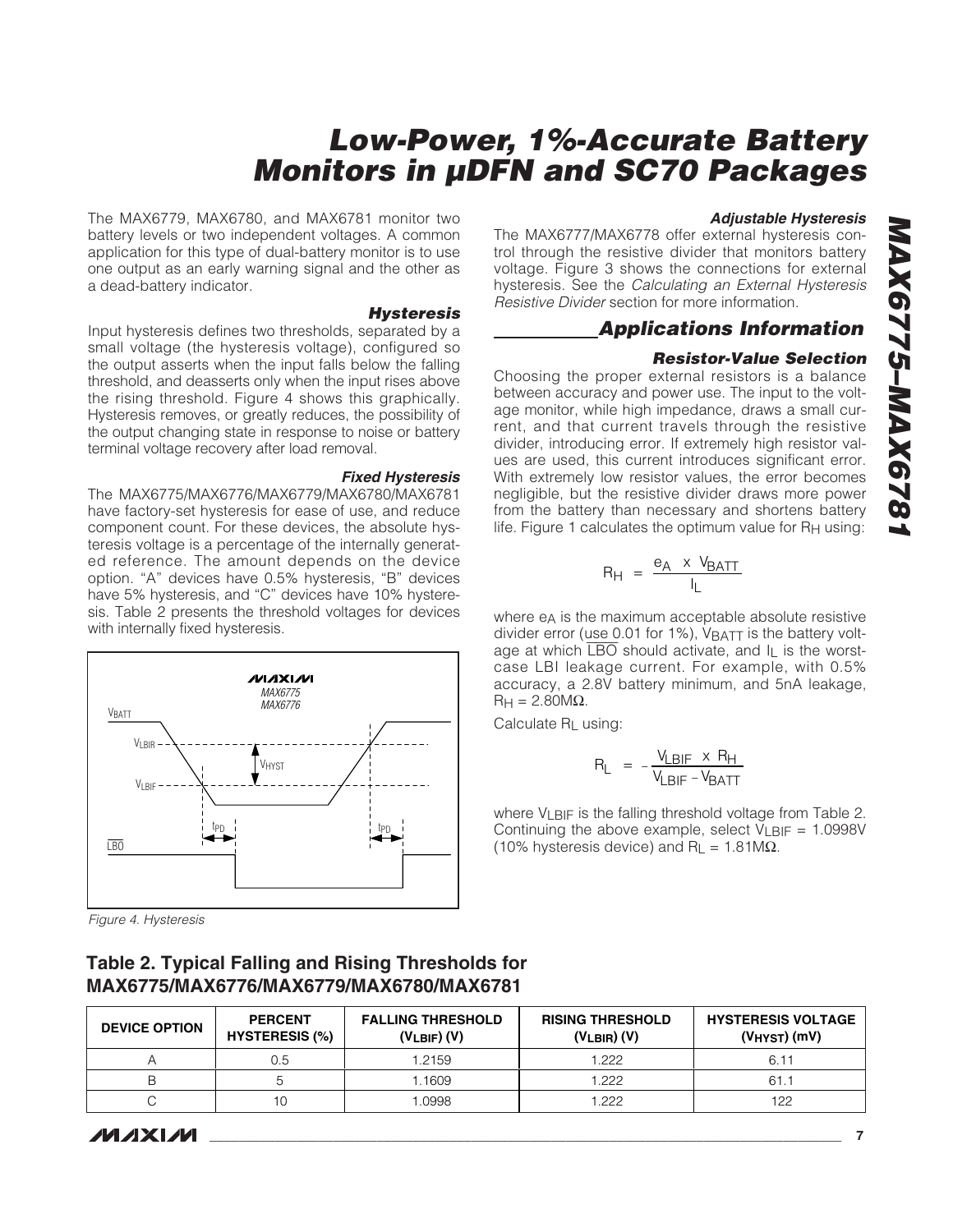The MAX6779, MAX6780, and MAX6781 monitor two battery levels or two independent voltages. A common application for this type of dual-battery monitor is to use one output as an early warning signal and the other as a dead-battery indicator.

#### **Hysteresis**

Input hysteresis defines two thresholds, separated by a small voltage (the hysteresis voltage), configured so the output asserts when the input falls below the falling threshold, and deasserts only when the input rises above the rising threshold. Figure 4 shows this graphically. Hysteresis removes, or greatly reduces, the possibility of the output changing state in response to noise or battery terminal voltage recovery after load removal.

**Fixed Hysteresis** The MAX6775/MAX6776/MAX6779/MAX6780/MAX6781 have factory-set hysteresis for ease of use, and reduce component count. For these devices, the absolute hysteresis voltage is a percentage of the internally generated reference. The amount depends on the device option. "A" devices have 0.5% hysteresis, "B" devices have 5% hysteresis, and "C" devices have 10% hysteresis. Table 2 presents the threshold voltages for devices with internally fixed hysteresis.



Figure 4. Hysteresis

#### **Table 2. Typical Falling and Rising Thresholds for MAX6775/MAX6776/MAX6779/MAX6780/MAX6781**

#### **DEVICE OPTION PERCENT HYSTERESIS (%) FALLING THRESHOLD (VLBIF) (V) RISING THRESHOLD (VLBIR) (V) HYSTERESIS VOLTAGE (VHYST) (mV)** A 0.5 1.2159 1.222 6.11 B | 5 | 1.1609 | 1.222 | 61.1 C 10 10 1.0998 1.222 1.222 122

#### **Adjustable Hysteresis**

The MAX6777/MAX6778 offer external hysteresis control through the resistive divider that monitors battery voltage. Figure 3 shows the connections for external hysteresis. See the Calculating an External Hysteresis Resistive Divider section for more information.

#### **Applications Information**

#### **Resistor-Value Selection**

Choosing the proper external resistors is a balance between accuracy and power use. The input to the voltage monitor, while high impedance, draws a small current, and that current travels through the resistive divider, introducing error. If extremely high resistor values are used, this current introduces significant error. With extremely low resistor values, the error becomes negligible, but the resistive divider draws more power from the battery than necessary and shortens battery life. Figure 1 calculates the optimum value for R<sub>H</sub> using:

$$
R_H = \frac{e_A \times V_{BATT}}{I_L}
$$

where e<sub>A</sub> is the maximum acceptable absolute resistive divider error (use 0.01 for 1%), VBATT is the battery voltage at which  $\overline{\text{LBO}}$  should activate, and I<sub>L</sub> is the worstcase LBI leakage current. For example, with 0.5% accuracy, a 2.8V battery minimum, and 5nA leakage,  $RH = 2.80M\Omega$ .

Calculate RL using:

$$
R_{L} = -\frac{V_{LBIF} \times R_{H}}{V_{LBIF} - V_{BATT}}
$$

where  $V_1$  BIF is the falling threshold voltage from Table 2. Continuing the above example, select  $V_{LBIF} = 1.0998V$ (10% hysteresis device) and  $R_L = 1.81 M\Omega$ .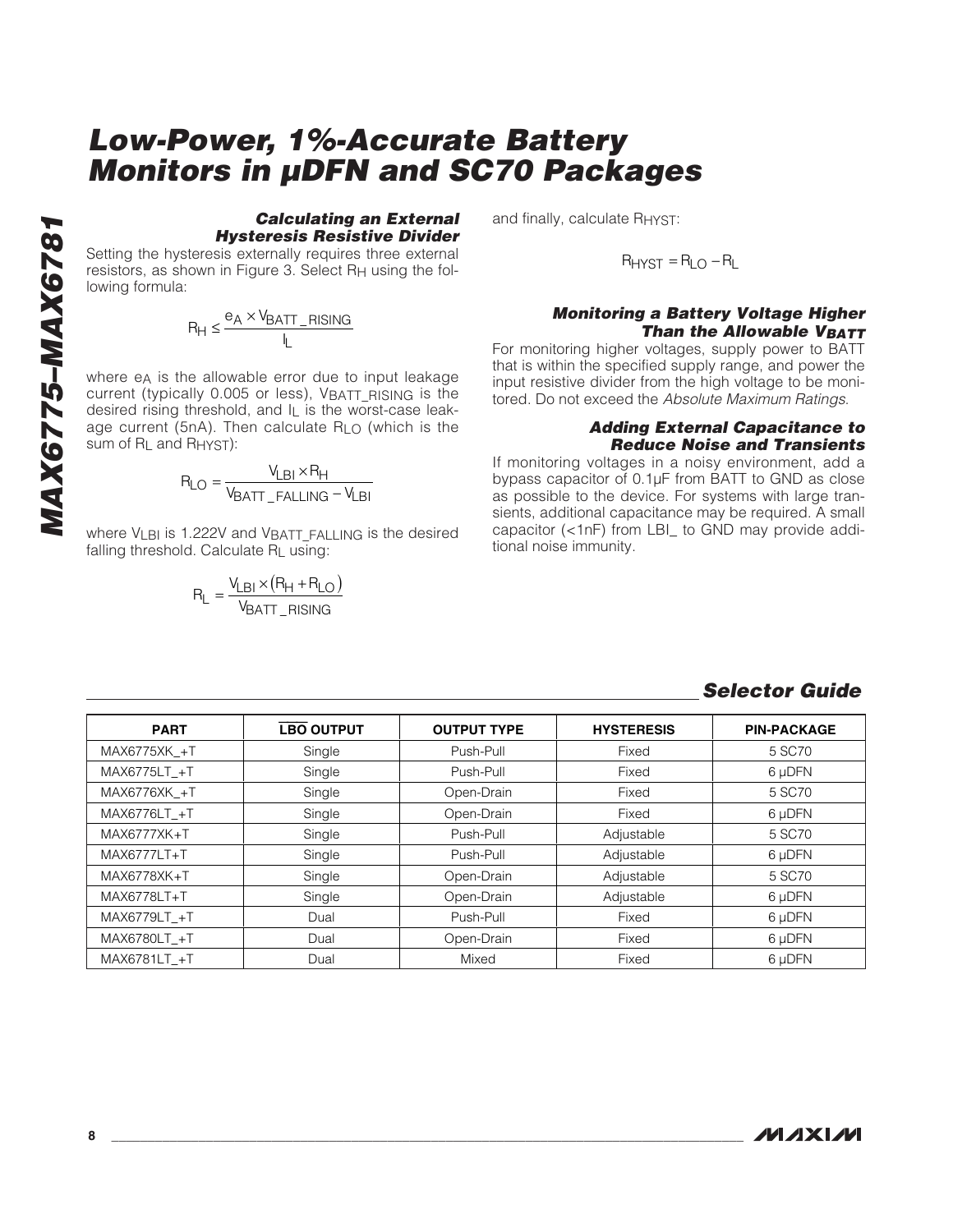#### **Calculating an External Hysteresis Resistive Divider**

Setting the hysteresis externally requires three external resistors, as shown in Figure 3. Select RH using the following formula:

$$
R_H \leq \frac{e_A \times V_{BATT\_RISING}}{I_L}
$$

where e<sub>A</sub> is the allowable error due to input leakage current (typically 0.005 or less), VBATT RISING is the desired rising threshold, and IL is the worst-case leakage current (5nA). Then calculate RLO (which is the sum of R<sub>L</sub> and R<sub>HYST</sub>):

$$
R_{LO} = \frac{V_{LBI} \times R_{H}}{V_{BATI\_FALLING} - V_{LBI}}
$$

where VLBI is 1.222V and VBATT FALLING is the desired falling threshold. Calculate RL using:

$$
R_L = \frac{V_{LBI} \times (R_H + R_{LO})}{V_{BAT\_RISING}}
$$

and finally, calculate RHYST:

$$
R_{HYST} = R_{LO} - R_L
$$

#### **Monitoring a Battery Voltage Higher Than the Allowable VBATT**

For monitoring higher voltages, supply power to BATT that is within the specified supply range, and power the input resistive divider from the high voltage to be monitored. Do not exceed the Absolute Maximum Ratings.

#### **Adding External Capacitance to Reduce Noise and Transients**

If monitoring voltages in a noisy environment, add a bypass capacitor of 0.1µF from BATT to GND as close as possible to the device. For systems with large transients, additional capacitance may be required. A small capacitor (<1nF) from LBI\_ to GND may provide additional noise immunity.

| <b>PART</b>     | <b>LBO OUTPUT</b> | <b>OUTPUT TYPE</b> | <b>HYSTERESIS</b> | <b>PIN-PACKAGE</b> |
|-----------------|-------------------|--------------------|-------------------|--------------------|
| MAX6775XK +T    | Single            | Push-Pull          | Fixed             | 5 SC70             |
| MAX6775LT +T    | Single            | Push-Pull          | Fixed             | 6 µDFN             |
| MAX6776XK +T    | Single            | Open-Drain         | Fixed             | 5 SC70             |
| MAX6776LT +T    | Single            | Open-Drain         | Fixed             | 6 µDFN             |
| MAX6777XK+T     | Single            | Push-Pull          | Adjustable        | 5 SC70             |
| MAX6777LT+T     | Single            | Push-Pull          | Adjustable        | 6 µDFN             |
| $MAX6778XK + T$ | Single            | Open-Drain         | Adjustable        | 5 SC70             |
| MAX6778LT+T     | Single            | Open-Drain         | Adjustable        | 6 µDFN             |
| MAX6779LT +T    | Dual              | Push-Pull          | Fixed             | 6 µDFN             |
| MAX6780LT +T    | Dual              | Open-Drain         | Fixed             | 6 µDFN             |
| MAX6781LT +T    | Dual              | Mixed              | Fixed             | 6 µDFN             |

#### **Selector Guide**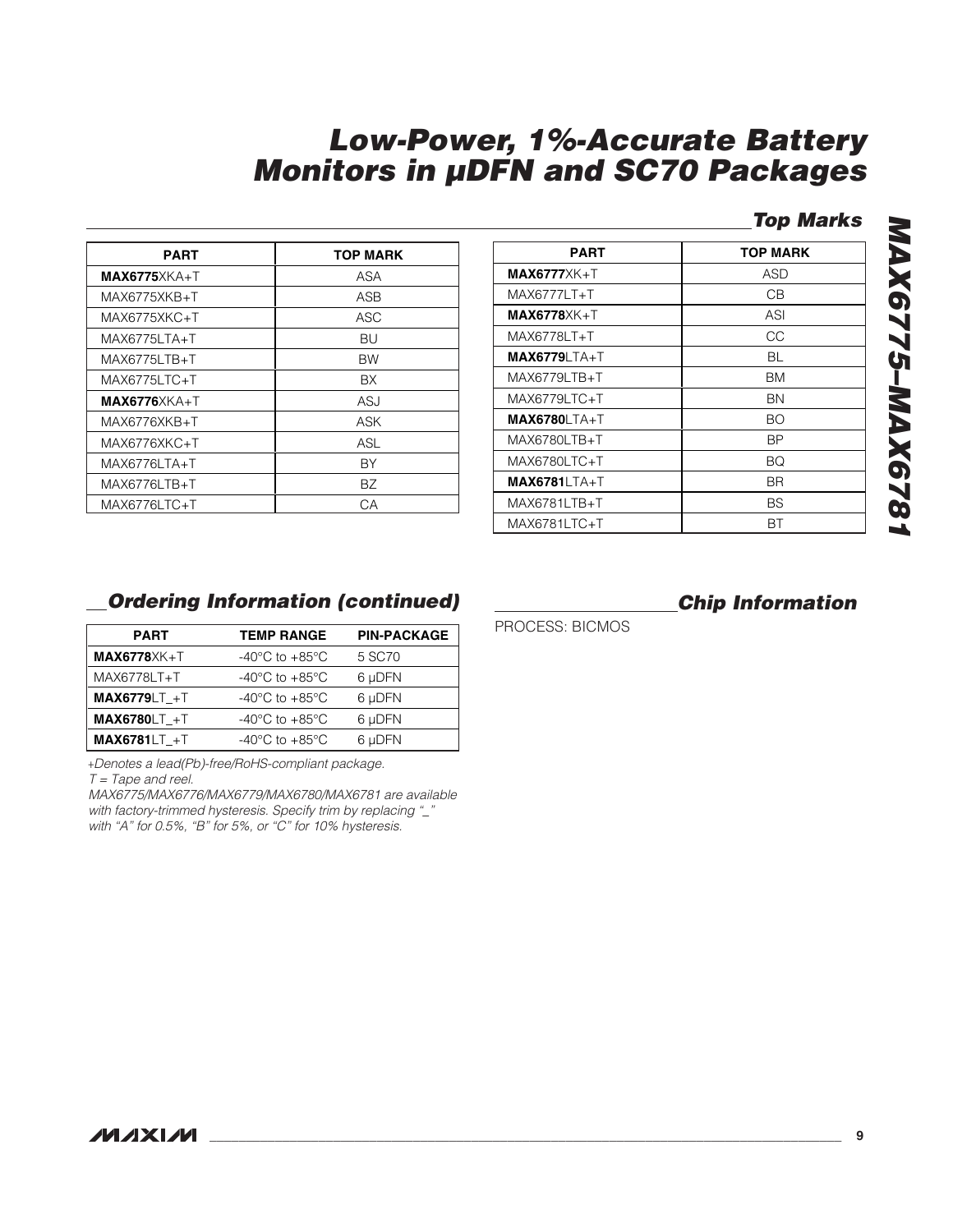#### **Top Marks**

| <b>PART</b>    | <b>TOP MARK</b> |
|----------------|-----------------|
| $MAX6775XKA+T$ | ASA             |
| MAX6775XKB+T   | ASB             |
| MAX6775XKC+T   | ASC             |
| MAX6775LTA+T   | BU              |
| MAX6775LTB+T   | <b>BW</b>       |
| MAX6775LTC+T   | <b>BX</b>       |
| $MAX6776XKA+T$ | <b>ASJ</b>      |
| MAX6776XKB+T   | ASK             |
| MAX6776XKC+T   | ASL             |
| MAX6776LTA+T   | BY              |
| MAX6776LTB+T   | ВZ              |
| MAX6776LTC+T   | CА              |

| <b>PART</b>          | <b>TOP MARK</b> |
|----------------------|-----------------|
| $MAX6777XXK+T$       | ASD             |
| MAX6777LT+T          | CВ              |
| MAX6778XK+T          | ASI             |
| MAX6778LT+T          | CС              |
| <b>MAX6779</b> LTA+T | BL              |
| MAX6779LTB+T         | BM              |
| MAX6779LTC+T         | ΒN              |
| <b>MAX6780</b> LTA+T | <b>BO</b>       |
| MAX6780LTB+T         | ВP              |
| MAX6780LTC+T         | BQ              |
| <b>MAX6781LTA+T</b>  | BR.             |
| MAX6781LTB+T         | BS              |
| MAX6781LTC+T         | ВT              |

# **MAX6775–MAX6781** MAX6775-MAX6781

#### **Ordering Information (continued)**

| <b>PART</b>         | <b>TEMP RANGE</b>                    | <b>PIN-PACKAGE</b> |
|---------------------|--------------------------------------|--------------------|
| $MAX6778XK+T$       | -40 $^{\circ}$ C to +85 $^{\circ}$ C | 5 SC70             |
| MAX6778LT+T         | -40 $^{\circ}$ C to +85 $^{\circ}$ C | 6 µDFN             |
| <b>MAX6779LT +T</b> | -40 $^{\circ}$ C to +85 $^{\circ}$ C | 6 µDFN             |
| <b>MAX6780LT +T</b> | -40 $^{\circ}$ C to +85 $^{\circ}$ C | 6 µDFN             |
| <b>MAX6781LT +T</b> | $-40^{\circ}$ C to $+85^{\circ}$ C   | 6 µDFN             |

+Denotes a lead(Pb)-free/RoHS-compliant package.

 $T = \text{Tape}$  and reel.

MAX6775/MAX6776/MAX6779/MAX6780/MAX6781 are available with factory-trimmed hysteresis. Specify trim by replacing "\_" with "A" for 0.5%, "B" for 5%, or "C" for 10% hysteresis.

#### **Chip Information**

PROCESS: BICMOS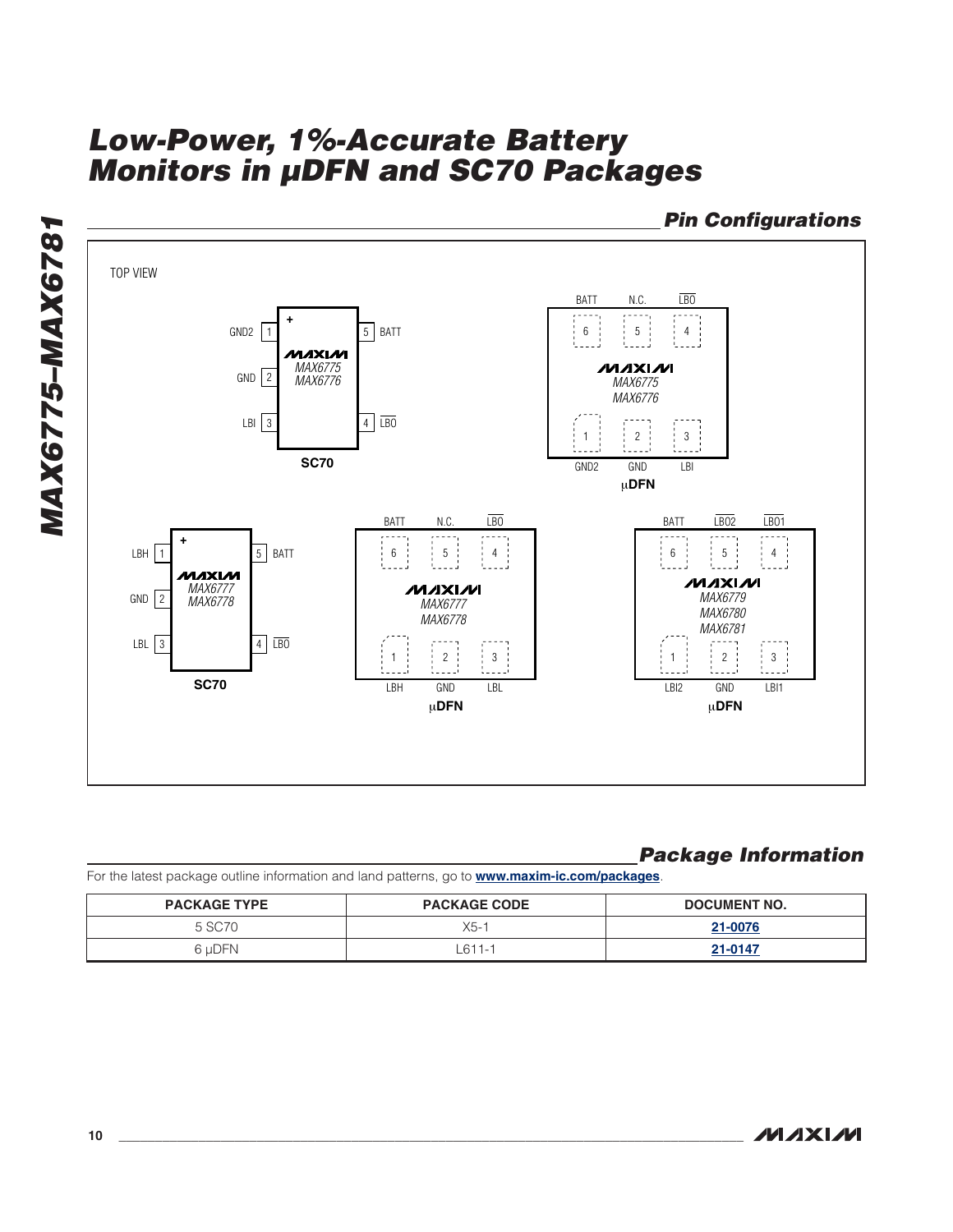**Pin Configurations** TOP VIEW BATT N.C. LBO **+** GND2  $\boxed{1}$  5 BATT  $6 \div 5 \div 4$ MAXIM **NIXIXIN** *MAX6775* GND 2 *MAX6776 MAX6775 MAX6776* LBI  $3$   $4 \overline{L}$ 3 4  $1 \tbinom{3}{2}$ **SC70** GND2 GND LBI μ**DFN**  $BAT$  N.C.  $\overline{LBO}$  $BAT$   $\overline{LBO2}$   $\overline{LBO1}$ **+**  $LBH$  1 5 BATT  $6 \t 5 \t 4$  $6 \t 5 \t 4$ MAXIM ルレスレル **NAXIM** *MAX6777 MAX6779* GND 2 *MAX6778 MAX6777 MAX6780 MAX6778 MAX6781* LBL  $3$   $4 \overline{LBO}$ 3 4  $1 \t{2} \t{3}$  $1$   $2$   $3$ **SC70** LBH GND LBL LBI2 GND LBI1 μ**DFN** μ**DFN**

#### **Package Information**

For the latest package outline information and land patterns, go to **www.maxim-ic.com/packages**.

| <b>PACKAGE TYPE</b> | <b>PACKAGE CODE</b> | DOCUMENT NO. |
|---------------------|---------------------|--------------|
| 5 SC <sub>70</sub>  | X5-1                | 21-0076      |
| 6 uDFN              | 611-1               | 21-0147      |

**MAX6775–MAX6781**

**MAX6775-MAX6781**